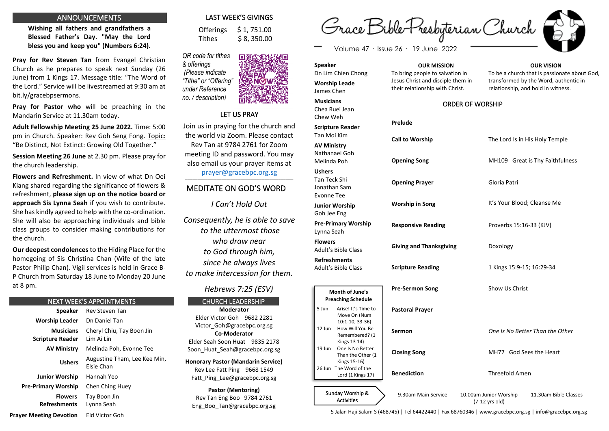#### ANNOUNCEMENTS

**Wishing all fathers and grandfathers a Blessed Father's Day. "May the Lord bless you and keep you" (Numbers 6:24).** 

**Pray for Rev Steven Tan** from Evangel Christian Church as he prepares to speak next Sunday (26 June) from 1 Kings 17. Message title: "The Word of the Lord." Service will be livestreamed at 9:30 am at bit.ly/gracebpsermons.

**Pray for Pastor who** will be preaching in the Mandarin Service at 11.30am today.

**Adult Fellowship Meeting 25 June 2022.** Time: 5:00 pm in Church. Speaker: Rev Goh Seng Fong. Topic: "Be Distinct, Not Extinct: Growing Old Together."

**Session Meeting 26 June** at 2.30 pm. Please pray for the church leadership.

**Flowers and Refreshment.** In view of what Dn Oei Kiang shared regarding the significance of flowers & refreshment, **please sign up on the notice board or approach Sis Lynna Seah** if you wish to contribute. She has kindly agreed to help with the co-ordination. She will also be approaching individuals and bible class groups to consider making contributions for the church.

**Our deepest condolences** to the Hiding Place for the homegoing of Sis Christina Chan (Wife of the late Pastor Philip Chan). Vigil services is held in Grace B-P Church from Saturday 18 June to Monday 20 June at 8 pm.

#### NEXT WEEK'S APPOINTMENTS

**Speaker** Rev Steven Tan **Worship Leader** Dn Daniel Tan **Musicians Scripture Reader** Cheryl Chiu, Tay Boon Jin Lim Ai Lin **AV Ministry** Melinda Poh, Evonne Tee **Ushers** Augustine Tham, Lee Kee Min, Elsie Chan **Junior Worship** Hannah Yeo **Pre-Primary Worship** Chen Ching Huey  **Flowers Refreshments Prayer Meeting Devotion** Tay Boon Jin Lynna Seah Eld Victor Goh

## LAST WEEK'S GIVINGS

 Offerings \$ 1, 751.00 Tithes  $\frac{1}{5}$  \$ 8, 350.00

*QR code for tithes & offerings (Please indicate "Tithe" or "Offering" under Reference no. / description)*

Join us in praying for the church and Rev Tan at 9784 2761 for Zoom also email us your prayer items at

\_\_\_\_\_\_\_\_\_\_\_\_\_\_\_\_\_\_\_\_\_\_\_\_\_\_\_\_\_\_\_\_\_\_\_\_\_\_\_\_\_\_\_\_\_\_\_\_\_\_\_\_\_\_\_\_\_\_\_\_\_\_\_\_\_\_\_\_\_\_\_\_\_\_\_\_\_\_\_\_\_\_\_\_\_\_

*I Can't Hold Out*

*to the uttermost those who draw near to God through him, since he always lives to make intercession for them.*

## *Hebrews 7:25 (ESV)*

CHURCH LEADERSHIP **Moderator** Elder Victor Goh 9682 2281 Victor\_Goh@gracebpc.org.sg **Co-Moderator** Elder Seah Soon Huat 9835 2178 Soon\_Huat\_Seah@gracebpc.org.sg

**Honorary Pastor (Mandarin Service)** Rev Lee Fatt Ping 9668 1549 Fatt\_Ping\_Lee@gracebpc.org.sg

**Pastor (Mentoring)** Rev Tan Eng Boo 9784 2761 Eng\_Boo\_Tan@gracebpc.org.sg

Grace Bible-Presbyterian Church

Volume 47 · Issue 26 · 19 June 2022

# **Speaker**

Dn Lim Chien Chong **Worship Leade** James Chen **Musicians** Chea Ruei Jean Chew Weh **Scripture Reader** Tan Moi Kim

**AV Ministry** Nathanael Goh Melinda Poh **Ushers** Tan Teck Shi Jonathan Sam Evonne Tee

**Junior Worship** Goh Jee Eng **Pre-Primary Worship** Lynna Seah **Flowers** Adult's Bible Class

**Refreshments** Adult's Bible Class

**Month of June's**

**Prelude**

**OUR MISSION**

To bring people to salvation in Jesus Christ and disciple them in their relationship with Christ.

To be a church that is passionate about God, transformed by the Word, authentic in relationship, and bold in witness. ORDER OF WORSHIP

| <b>Call to Worship</b>         | The Lord Is in His Holy Temple  |  |
|--------------------------------|---------------------------------|--|
| <b>Opening Song</b>            | MH109 Great is Thy Faithfulness |  |
| <b>Opening Prayer</b>          | Gloria Patri                    |  |
| <b>Worship in Song</b>         | It's Your Blood; Cleanse Me     |  |
| <b>Responsive Reading</b>      | Proverbs 15:16-33 (KJV)         |  |
| <b>Giving and Thanksgiving</b> | Doxology                        |  |
| <b>Scripture Reading</b>       | 1 Kings 15:9-15; 16:29-34       |  |
| <b>Pre-Sermon Song</b>         | Show Us Christ                  |  |
| <b>Pastoral Prayer</b>         |                                 |  |

| <b>Preaching Schedule</b> |                                                        |                        |                                          |                                 |
|---------------------------|--------------------------------------------------------|------------------------|------------------------------------------|---------------------------------|
| 5 Jun                     | Arise! It's Time to<br>Move On (Num<br>10:1-10; 33-36) | <b>Pastoral Prayer</b> |                                          |                                 |
| $12$ Jun                  | How Will You Be<br>Remembered? (1<br>Kings 13 14)      | Sermon                 |                                          | One Is No Better Than the Other |
| 19 Jun                    | One Is No Better<br>Than the Other (1<br>Kings 15-16)  | <b>Closing Song</b>    |                                          | MH77 God Sees the Heart         |
|                           | 26 Jun The Word of the<br>Lord (1 Kings 17)            | <b>Benediction</b>     | <b>Threefold Amen</b>                    |                                 |
|                           | Sunday Worship &<br><b>Activities</b>                  | 9.30am Main Service    | 10.00am Junior Worship<br>(7-12 yrs old) | 11.30am Bible Classes           |

5 Jalan Haji Salam S (468745) | Tel 64422440 | Fax 68760346 | www.gracebpc.org.sg | info@gracebpc.org.sg



**OUR VISION**

LET US PRAY

the world via Zoom. Please contact meeting ID and password. You may

[prayer@gracebpc.org.sg](mailto:prayer@gracebpc.org.sg)

## MEDITATE ON GOD'S WORD

*Consequently, he is able to save*